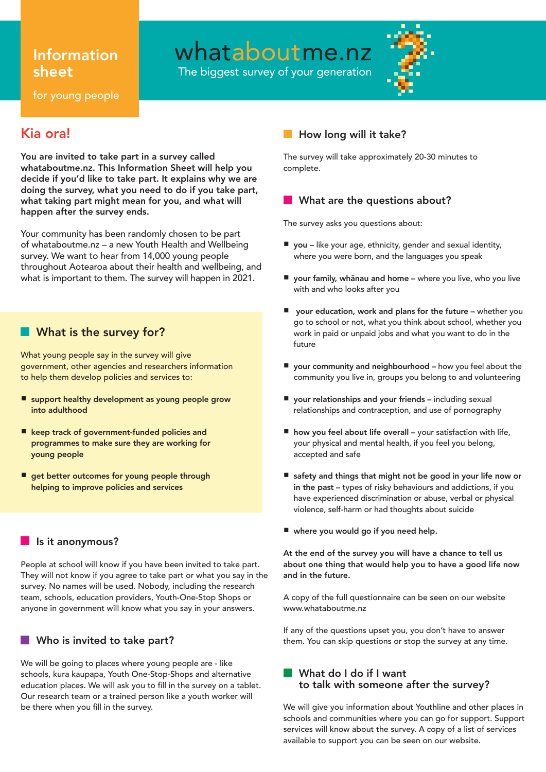# Information sheet

whataboutme.nz

The biggest survey of your generation



for young people

# Kia ora!

You are invited to take part in a survey called whataboutme.nz. This Information Sheet will help you decide if you'd like to take part. It explains why we are doing the survey, what you need to do if you take part, what taking part might mean for you, and what will happen after the survey ends.

Your community has been randomly chosen to be part of whataboutme.nz – a new Youth Health and Wellbeing survey. We want to hear from 14,000 young people throughout Aotearoa about their health and wellbeing, and what is important to them. The survey will happen in 2021.

## **Not is the survey for?**

What young people say in the survey will give government, other agencies and researchers information to help them develop policies and services to:

- support healthy development as young people grow into adulthood
- keep track of government-funded policies and programmes to make sure they are working for young people
- get better outcomes for young people through helping to improve policies and services

### Is it anonymous?

People at school will know if you have been invited to take part. They will not know if you agree to take part or what you say in the survey. No names will be used. Nobody, including the research team, schools, education providers, Youth-One-Stop Shops or anyone in government will know what you say in your answers.

#### Who is invited to take part? H.

We will be going to places where young people are - like schools, kura kaupapa, Youth One-Stop-Shops and alternative education places. We will ask you to fill in the survey on a tablet. Our research team or a trained person like a youth worker will be there when you fill in the survey.

## How long will it take?

The survey will take approximately 20-30 minutes to complete.

## What are the questions about?

The survey asks you questions about:

- you like your age, ethnicity, gender and sexual identity, where you were born, and the languages you speak
- your family, whānau and home where you live, who you live with and who looks after you
- your education, work and plans for the future whether you go to school or not, what you think about school, whether you work in paid or unpaid jobs and what you want to do in the future
- your community and neighbourhood how you feel about the community you live in, groups you belong to and volunteering
- your relationships and your friends including sexual relationships and contraception, and use of pornography
- how you feel about life overall your satisfaction with life, your physical and mental health, if you feel you belong, accepted and safe
- safety and things that might not be good in your life now or in the past – types of risky behaviours and addictions, if you have experienced discrimination or abuse, verbal or physical violence, self-harm or had thoughts about suicide
- where you would go if you need help.

At the end of the survey you will have a chance to tell us about one thing that would help you to have a good life now and in the future.

A copy of the full questionnaire can be seen on our website www.whataboutme.nz

If any of the questions upset you, you don't have to answer them. You can skip questions or stop the survey at any time.

#### What do I do if I want to talk with someone after the survey?

We will give you information about Youthline and other places in schools and communities where you can go for support. Support services will know about the survey. A copy of a list of services available to support you can be seen on our website.